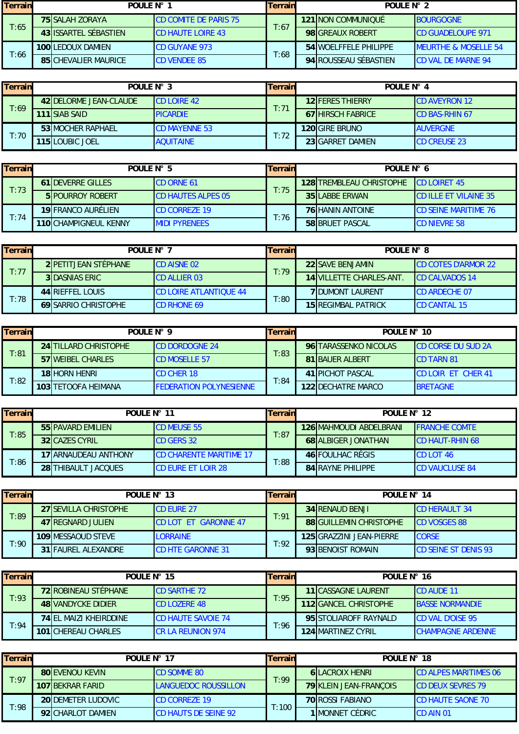| <b>Terrain</b> | POULE N° |                             | Terrain                      | POULE N° 2 |  |                         |                                 |
|----------------|----------|-----------------------------|------------------------------|------------|--|-------------------------|---------------------------------|
|                |          | <b>75 SALAH ZORAYA</b>      | <b>CD COMITE DE PARIS 75</b> | T:67       |  | 121 NON COMMUNIQUÉ      | <b>BOURGOGNE</b>                |
| T:65           |          | 43 IISSARTEL SÉBASTIEN      | <b>CD HAUTE LOIRE 43</b>     |            |  | <b>98IGREAUX ROBERT</b> | <b>ICD GUADELOUPE 971</b>       |
| T:66           |          | <b>100 LEDOUX DAMIEN</b>    | <b>CD GUYANE 973</b>         | T:68       |  | 54 WOELFFELE PHILIPPE   | <b>MEURTHE &amp; MOSELLE 54</b> |
|                |          | <b>85 CHEVALIER MAURICE</b> | <b>CD VENDEE 85</b>          |            |  | 94 ROUSSEAU SÉBASTIEN   | <b>CD VAL DE MARNE 94</b>       |

| <b>Terrain</b> | POULE N° 3 |                                | <b>Terrain</b>       | POULE N° 4 |                          |                       |
|----------------|------------|--------------------------------|----------------------|------------|--------------------------|-----------------------|
|                |            | 42 <b>IDELORME JEAN-CLAUDE</b> | <b>CD LOIRE 42</b>   | T:71       | <b>12 FERES THIERRY</b>  | <b>ICD AVEYRON 12</b> |
| T:69           |            | 111 ISIAB SAID                 | <b>PICARDIE</b>      |            | <b>67 HIRSCH FABRICE</b> | <b>CD BAS-RHIN 67</b> |
|                |            | <b>53 MOCHER RAPHAEL</b>       | <b>CD MAYENNE 53</b> | T:72       | <b>120 GIRE BRUNO</b>    | <b>AUVERGNE</b>       |
| T:70           |            | 115 LOUBIC JOEL                | <b>AQUITAINE</b>     |            | 23 GARRET DAMIEN         | <b>CD CREUSE 23</b>   |

| <b>Terrain</b> | POULE N° 5                |                           | Terrain | POULE N° 6 |                                 |                               |  |
|----------------|---------------------------|---------------------------|---------|------------|---------------------------------|-------------------------------|--|
|                | <b>61 IDEVERRE GILLES</b> | <b>CD ORNE 61</b>         | T:75    |            | <b>128 TREMBLEAU CHRISTOPHE</b> | $ CD $ OIRFT 45               |  |
| T:73           | <b>5 IPOURROY ROBERT</b>  | <b>CD HAUTES ALPES 05</b> |         |            | <b>35 LABBE ERWAN</b>           | <b>CD ILLE ET VILAINE 357</b> |  |
|                | 19 FRANCO AURÉLIEN        | <b>ICD CORREZE 19</b>     | T:76    |            | <b>76 HANIN ANTOINE</b>         | <b>CD SFINE MARITIME 76</b>   |  |
| T:74           | 110lCHAMPIGNEUL KENNY     | <b>MIDI PYRENEES</b>      |         |            | <b>58 BRUET PASCAL</b>          | <b>CD NIEVRE 58</b>           |  |

| Terrain | POULE $N^{\circ}$ 7          |                               | <b>Terrain</b> | POULE $N^{\circ}$ 8            |                            |  |
|---------|------------------------------|-------------------------------|----------------|--------------------------------|----------------------------|--|
|         | 2 <b>PETITJEAN STÉPHANE</b>  | <b>CD AISNE 02</b>            | T:79           | <b>22 SAVE BENJAMIN</b>        | <b>CD COTES D'ARMOR 22</b> |  |
| T:77    | <b>3 DASNIAS ERIC</b>        | <b>CD ALLIER 03</b>           |                | <b>14 VILLETTE CHARLES-ANT</b> | <b>CD CALVADOS 14</b>      |  |
|         | 44 RIEFFEL LOUIS             | <b>CD LOIRE ATLANTIQUE 44</b> | T:80           | <b>7IDUMONT LAURENT</b>        | <b>CD ARDECHE 07</b>       |  |
| T:78    | <b>69 ISARRIO CHRISTOPHE</b> | <b>CD RHONE 69</b>            |                | <b>15 REGIMBAL PATRICK</b>     | <b>ICD CANTAL 15</b>       |  |

| Terrain | POULF $N^{\circ}$ 9 |                              | Terrain                         | POULE $N^{\circ}$ 10 |                           |                           |  |
|---------|---------------------|------------------------------|---------------------------------|----------------------|---------------------------|---------------------------|--|
|         |                     | <b>24 TILLARD CHRISTOPHE</b> | <b>CD DORDOGNE 24</b>           | T:83                 | 96 TARASSENKO NICOLAS     | <b>CD CORSE DU SUD 2A</b> |  |
| T:81    |                     | <b>57 WEIBEL CHARLES</b>     | <b>CD MOSELLE 57</b>            |                      | <b>81 BAUER ALBERT</b>    | <b>ICD TARN 81</b>        |  |
|         |                     | <b>18 HORN HENRI</b>         | <b>CD CHER 18</b>               | T:84                 | 41 PICHOT PASCAL          | <b>CD LOIR ET CHER 41</b> |  |
| T:82    |                     | <b>103 ITETOOFA HEIMANA</b>  | <b>IFFDERATION POLYNESIENNE</b> |                      | <b>122IDECHATRE MARCO</b> | <b>BRETAGNE</b>           |  |

| Terrain | POULE $N^{\circ}$ 11       |                                | Terrain | POULE $N^{\circ}$ 12 |                            |                        |  |
|---------|----------------------------|--------------------------------|---------|----------------------|----------------------------|------------------------|--|
|         | <b>55 PAVARD EMILIEN</b>   | <b>CD MEUSE 55</b>             | T:87    |                      | 126 MAHMOUDI ABDEI BRANI   | <b>FRANCHE COMTE</b>   |  |
| T:85    | <b>32 CAZES CYRIL</b>      | <b>CD GERS 32</b>              |         |                      | <b>68 ALBIGER JONATHAN</b> | <b>CD HAUT-RHIN 68</b> |  |
|         | 17 ARNAUDEAU ANTHONY       | <b>CD CHARENTE MARITIME 17</b> |         |                      | 46 FOULHAC RÉGIS           | <b>CD LOT 46</b>       |  |
| T:86    | <b>28ITHIBAULT JACOUES</b> | <b>ICD EURE ET LOIR 28</b>     | T:88    |                      | <b>84 RAYNE PHILIPPE</b>   | <b>ICD VAUCLUSE 84</b> |  |

| Terrain        | POULE N° 13 |                       | Terrain                      | POULE N° 14 |                                |                              |
|----------------|-------------|-----------------------|------------------------------|-------------|--------------------------------|------------------------------|
| T:89           |             | 27 SEVILLA CHRISTOPHE | <b>ICD EURE 27</b>           | T:91        | <b>34 RENAUD BENJI</b>         | <b>ICD HERAULT 34</b>        |
|                |             | 47 REGNARD JULIEN     | <b>ICD LOT ET GARONNE 47</b> |             | <b>88 GUILLEMIN CHRISTOPHE</b> | <b>ICD VOSGES 88</b>         |
|                |             | 109 MESSAOUD STEVE    | <b>LORRAINE</b>              | T:92        | 125 GRAZZINI JEAN-PIERRE       | <b>CORSE</b>                 |
| $T:90^{\circ}$ |             | 31 FAUREL ALEXANDRE   | <b>CD HTE GARONNE 31</b>     |             | 93 BENOIST ROMAIN              | <b>ICD SEINE ST DENIS 93</b> |

| <b>Terrain</b> | POULE N° 15 |                               | <b>Terrain</b>            | POULE N° 16 |  |                              |                          |  |
|----------------|-------------|-------------------------------|---------------------------|-------------|--|------------------------------|--------------------------|--|
|                |             | <b>72 ROBINEAU STÉPHANE</b>   | <b>CD SARTHE 72</b>       | T:95        |  | <b>11 CASSAGNE LAURENT</b>   | <b>ICD AUDE 11</b>       |  |
| T:93           |             | <b>48 VANDYCKE DIDIER</b>     | <b>CD LOZERE 48</b>       |             |  | <b>112 GANCEL CHRISTOPHE</b> | <b>BASSE NORMANDIE</b>   |  |
| T:94           |             | <b>74 FL MAIZL KHEIRDDINE</b> | <b>CD HAUTE SAVOIE 74</b> |             |  | 95 STOLIAROFF RAYNALD        | <b>CD VAL D'OISE 95</b>  |  |
|                |             | <b>101 CHEREAU CHARLES</b>    | <b>ICR LA REUNION 974</b> | T:96        |  | <b>124 MARTINEZ CYRIL</b>    | <b>CHAMPAGNE ARDENNE</b> |  |

| Terrain | POULE N° 17               |                             | Terrain | POULE N° 18             |                               |  |
|---------|---------------------------|-----------------------------|---------|-------------------------|-------------------------------|--|
| T:97    | <b>80 EVENOU KEVIN</b>    | <b>CD SOMME 80</b>          | T:99    | <b>6ILACROIX HENRI</b>  | <b>ICD ALPES MARITIMES 06</b> |  |
|         | 107 BEKRAR FARID          | LANGUEDOC ROUSSILLON        |         | 79 KLEIN JEAN-FRANÇOIS  | <b>CD DEUX SEVRES 79</b>      |  |
| T:98    | <b>20IDEMETER LUDOVIC</b> | <b>CD CORREZE 19</b>        | T:100   | <b>70 ROSSI FABIANO</b> | <b>CD HAUTE SAONE 70</b>      |  |
|         | 92 CHARLOT DAMIEN         | <b>CD HAUTS DE SEINE 92</b> |         | <b>1 MONNET CÉDRIC</b>  | <b>CD AIN 01</b>              |  |